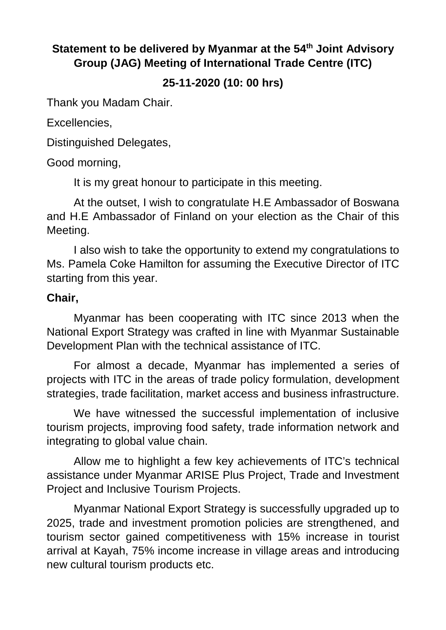## **Statement to be delivered by Myanmar at the 54th Joint Advisory Group (JAG) Meeting of International Trade Centre (ITC)**

## **25-11-2020 (10: 00 hrs)**

Thank you Madam Chair.

Excellencies,

Distinguished Delegates,

Good morning,

It is my great honour to participate in this meeting.

At the outset, I wish to congratulate H.E Ambassador of Boswana and H.E Ambassador of Finland on your election as the Chair of this Meeting.

I also wish to take the opportunity to extend my congratulations to Ms. Pamela Coke Hamilton for assuming the Executive Director of ITC starting from this year.

## **Chair,**

Myanmar has been cooperating with ITC since 2013 when the National Export Strategy was crafted in line with Myanmar Sustainable Development Plan with the technical assistance of ITC.

For almost a decade, Myanmar has implemented a series of projects with ITC in the areas of trade policy formulation, development strategies, trade facilitation, market access and business infrastructure.

We have witnessed the successful implementation of inclusive tourism projects, improving food safety, trade information network and integrating to global value chain.

Allow me to highlight a few key achievements of ITC's technical assistance under Myanmar ARISE Plus Project, Trade and Investment Project and Inclusive Tourism Projects.

Myanmar National Export Strategy is successfully upgraded up to 2025, trade and investment promotion policies are strengthened, and tourism sector gained competitiveness with 15% increase in tourist arrival at Kayah, 75% income increase in village areas and introducing new cultural tourism products etc.